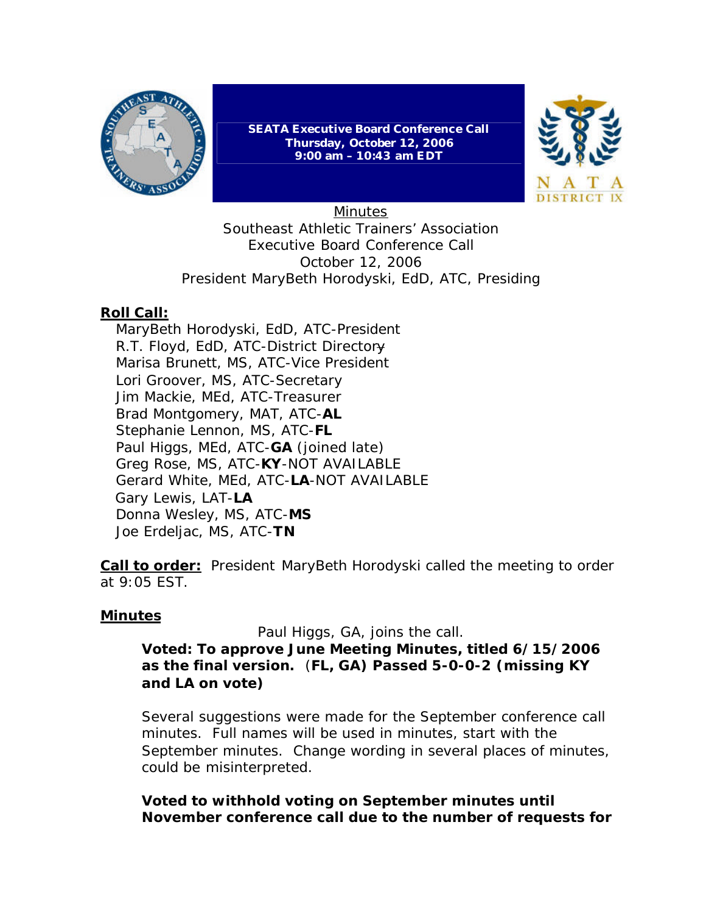

**SEATA Executive Board Conference Call Thursday, October 12, 2006 9:00 am – 10:43 am EDT**



**Minutes** Southeast Athletic Trainers' Association Executive Board Conference Call October 12, 2006 President MaryBeth Horodyski, EdD, ATC, Presiding

# **Roll Call:**

 MaryBeth Horodyski, EdD, ATC-President R.T. Floyd, EdD, ATC-District Directory Marisa Brunett, MS, ATC-Vice President Lori Groover, MS, ATC-Secretary Jim Mackie, MEd, ATC-Treasurer Brad Montgomery, MAT, ATC-**AL** Stephanie Lennon, MS, ATC-**FL** Paul Higgs, MEd, ATC-**GA** (joined late) Greg Rose, MS, ATC-**KY**-NOT AVAILABLE Gerard White, MEd, ATC-**LA**-NOT AVAILABLE Gary Lewis, LAT-**LA**  Donna Wesley, MS, ATC-**MS** Joe Erdeljac, MS, ATC-**TN**

**Call to order:** President MaryBeth Horodyski called the meeting to order at 9:05 EST.

### **Minutes**

*Paul Higgs, GA, joins the call.*

**Voted: To approve June Meeting Minutes, titled 6/15/2006 as the final version.** (**FL, GA) Passed 5-0-0-2 (missing KY and LA on vote)**

Several suggestions were made for the September conference call minutes. Full names will be used in minutes, start with the September minutes. Change wording in several places of minutes, could be misinterpreted.

**Voted to withhold voting on September minutes until November conference call due to the number of requests for**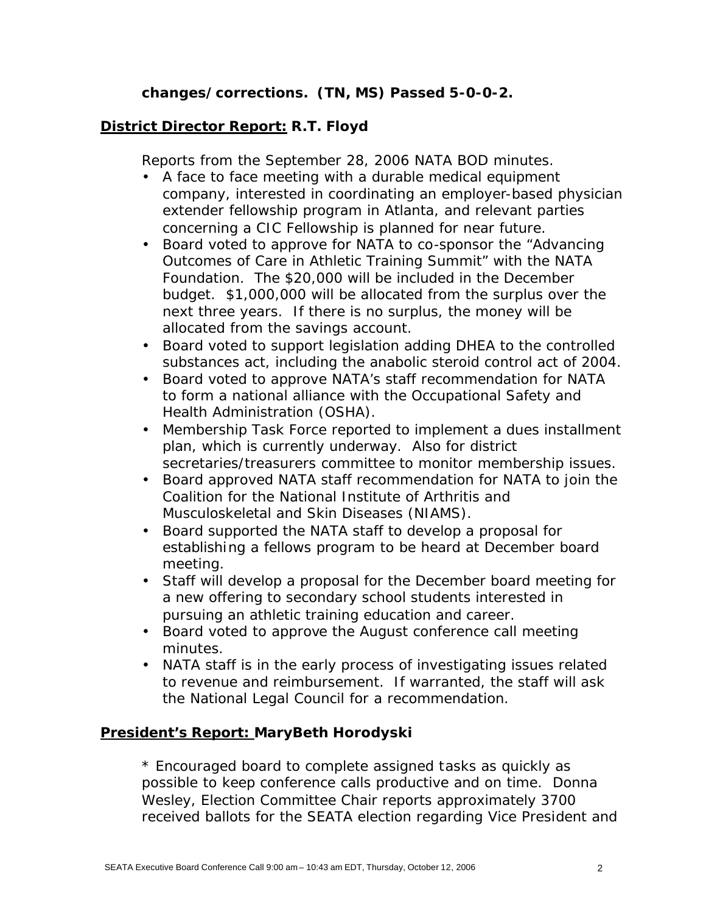## **changes/corrections. (TN, MS) Passed 5-0-0-2.**

#### **District Director Report: R.T. Floyd**

Reports from the September 28, 2006 NATA BOD minutes.

- A face to face meeting with a durable medical equipment company, interested in coordinating an employer-based physician extender fellowship program in Atlanta, and relevant parties concerning a CIC Fellowship is planned for near future.
- Board voted to approve for NATA to co-sponsor the "Advancing Outcomes of Care in Athletic Training Summit" with the NATA Foundation. The \$20,000 will be included in the December budget. \$1,000,000 will be allocated from the surplus over the next three years. If there is no surplus, the money will be allocated from the savings account.
- Board voted to support legislation adding DHEA to the controlled substances act, including the anabolic steroid control act of 2004.
- Board voted to approve NATA's staff recommendation for NATA to form a national alliance with the Occupational Safety and Health Administration (OSHA).
- Membership Task Force reported to implement a dues installment plan, which is currently underway. Also for district secretaries/treasurers committee to monitor membership issues.
- Board approved NATA staff recommendation for NATA to join the Coalition for the National Institute of Arthritis and Musculoskeletal and Skin Diseases (NIAMS).
- Board supported the NATA staff to develop a proposal for establishing a fellows program to be heard at December board meeting.
- Staff will develop a proposal for the December board meeting for a new offering to secondary school students interested in pursuing an athletic training education and career.
- Board voted to approve the August conference call meeting minutes.
- NATA staff is in the early process of investigating issues related to revenue and reimbursement. If warranted, the staff will ask the National Legal Council for a recommendation.

### **President's Report: MaryBeth Horodyski**

\* Encouraged board to complete assigned tasks as quickly as possible to keep conference calls productive and on time. Donna Wesley, Election Committee Chair reports approximately 3700 received ballots for the SEATA election regarding Vice President and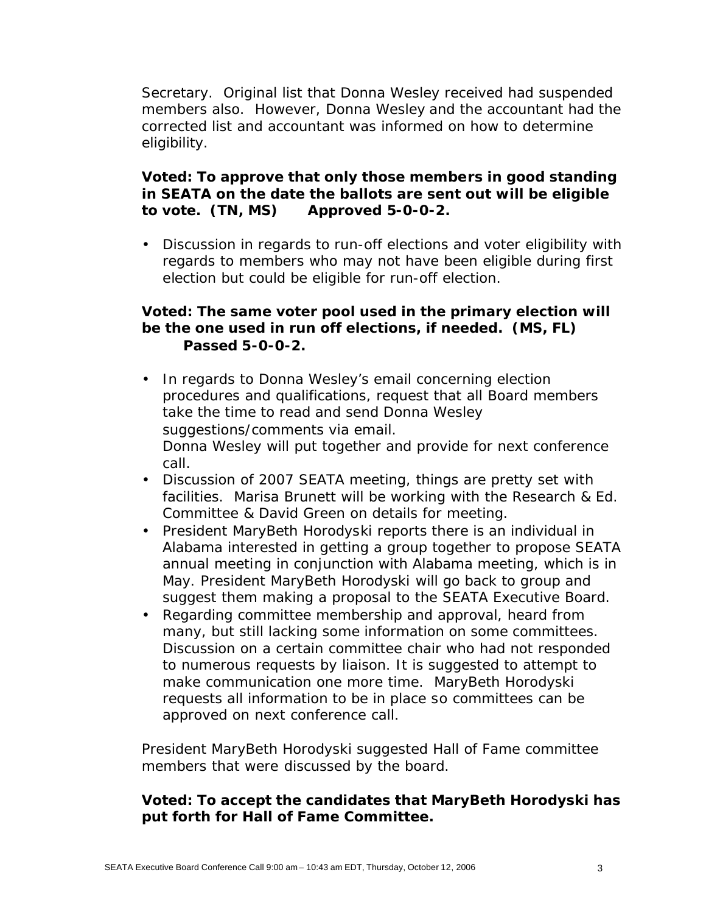Secretary. Original list that Donna Wesley received had suspended members also. However, Donna Wesley and the accountant had the corrected list and accountant was informed on how to determine eligibility.

#### **Voted: To approve that only those members in good standing in SEATA on the date the ballots are sent out will be eligible to vote. (TN, MS) Approved 5-0-0-2.**

• Discussion in regards to run-off elections and voter eligibility with regards to members who may not have been eligible during first election but could be eligible for run-off election.

### **Voted: The same voter pool used in the primary election will be the one used in run off elections, if needed. (MS, FL) Passed 5-0-0-2.**

- In regards to Donna Wesley's email concerning election procedures and qualifications, request that all Board members take the time to read and send Donna Wesley suggestions/comments via email. Donna Wesley will put together and provide for next conference call.
- Discussion of 2007 SEATA meeting, things are pretty set with facilities. Marisa Brunett will be working with the Research & Ed. Committee & David Green on details for meeting.
- President MaryBeth Horodyski reports there is an individual in Alabama interested in getting a group together to propose SEATA annual meeting in conjunction with Alabama meeting, which is in May. President MaryBeth Horodyski will go back to group and suggest them making a proposal to the SEATA Executive Board.
- Regarding committee membership and approval, heard from many, but still lacking some information on some committees. Discussion on a certain committee chair who had not responded to numerous requests by liaison. It is suggested to attempt to make communication one more time. MaryBeth Horodyski requests all information to be in place so committees can be approved on next conference call.

President MaryBeth Horodyski suggested Hall of Fame committee members that were discussed by the board.

## **Voted: To accept the candidates that MaryBeth Horodyski has put forth for Hall of Fame Committee.**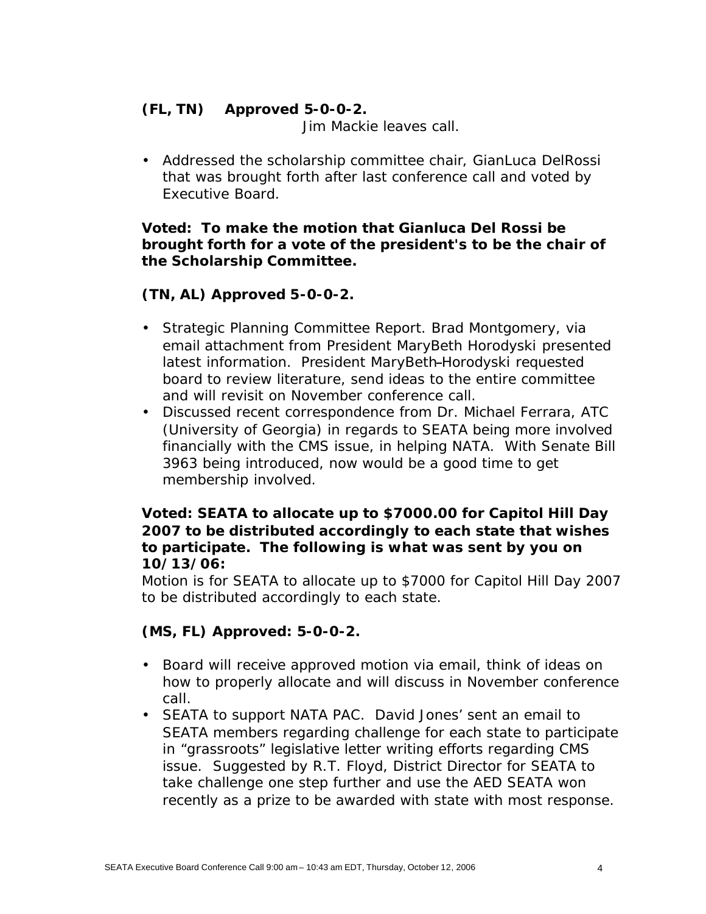## **(FL, TN) Approved 5-0-0-2.**

*Jim Mackie leaves call.*

• Addressed the scholarship committee chair, GianLuca DelRossi that was brought forth after last conference call and voted by Executive Board.

#### **Voted: To make the motion that Gianluca Del Rossi be brought forth for a vote of the president's to be the chair of the Scholarship Committee.**

## **(TN, AL) Approved 5-0-0-2.**

- Strategic Planning Committee Report. Brad Montgomery, via email attachment from President MaryBeth Horodyski presented latest information. President MaryBeth Horodyski requested board to review literature, send ideas to the entire committee and will revisit on November conference call.
- Discussed recent correspondence from Dr. Michael Ferrara, ATC (University of Georgia) in regards to SEATA being more involved financially with the CMS issue, in helping NATA. With Senate Bill 3963 being introduced, now would be a good time to get membership involved.

#### **Voted: SEATA to allocate up to \$7000.00 for Capitol Hill Day 2007 to be distributed accordingly to each state that wishes to participate. The following is what was sent by you on 10/13/06:**

Motion is for SEATA to allocate up to \$7000 for Capitol Hill Day 2007 to be distributed accordingly to each state.

### **(MS, FL) Approved: 5-0-0-2.**

- Board will receive approved motion via email, think of ideas on how to properly allocate and will discuss in November conference call.
- SEATA to support NATA PAC. David Jones' sent an email to SEATA members regarding challenge for each state to participate in "grassroots" legislative letter writing efforts regarding CMS issue. Suggested by R.T. Floyd, District Director for SEATA to take challenge one step further and use the AED SEATA won recently as a prize to be awarded with state with most response.